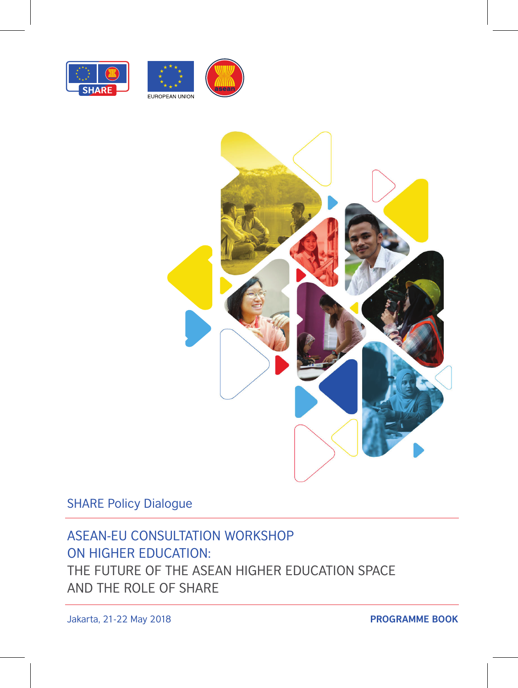





SHARE Policy Dialogue

### ASEAN-EU CONSULTATION WORKSHOP ON HIGHER EDUCATION:

THE FUTURE OF THE ASEAN HIGHER EDUCATION SPACE AND THE ROLE OF SHARE

Jakarta, 21-22 May 2018 **PROGRAMME BOOK**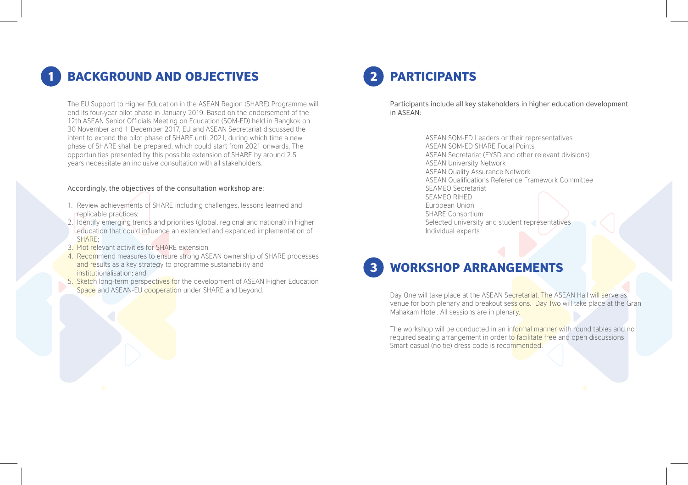## **BACKGROUND AND OBJECTIVES**

The EU Support to Higher Education in the ASEAN Region (SHARE) Programme will end its four-year pilot phase in January 2019. Based on the endorsement of the 12th ASEAN Senior Officials Meeting on Education (SOM-ED) held in Bangkok on 30 November and 1 December 2017, EU and ASEAN Secretariat discussed the intent to extend the pilot phase of SHARE until 2021, during which time a new phase of SHARE shall be prepared, which could start from 2021 onwards. The opportunities presented by this possible extension of SHARE by around 2.5 years necessitate an inclusive consultation with all stakeholders.

#### Accordingly, the objectives of the consultation workshop are:

- 1. Review achievements of SHARE including challenges, lessons learned and replicable practices;
- 2. Identify emerging trends and priorities (global, regional and national) in higher education that could influence an extended and expanded implementation of SHARE;
- 3. Plot relevant activities for SHARE extension;
- 4. Recommend measures to ensure strong ASEAN ownership of SHARE processes and results as a key strategy to programme sustainability and institutionalisation; and
- 5. Sketch long-term perspectives for the development of ASEAN Higher Education Space and ASEAN-EU cooperation under SHARE and beyond.

# **PARTICIPANTS**

Participants include all key stakeholders in higher education development in ASEAN:

> ASEAN SOM-ED Leaders or their representatives ASEAN SOM-ED SHARE Focal Points ASEAN Secretariat (EYSD and other relevant divisions) ASEAN University Network ASEAN Quality Assurance Network ASEAN Qualifications Reference Framework Committee SEAMEO Secretariat SEAMEO RIHED European Union SHARE Consortium Selected university and student representatives Individual experts



Day One will take place at the ASEAN Secretariat. The ASEAN Hall will serve as venue for both plenary and breakout sessions. Day Two will take place at the Gran Mahakam Hotel. All sessions are in plenary.

The workshop will be conducted in an informal manner with round tables and no required seating arrangement in order to **facilitate free** and open discussions. Smart casual (no tie) dress code is recommended.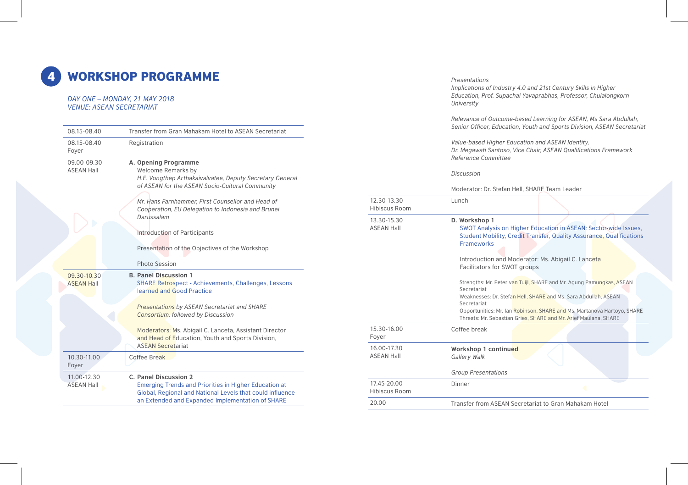## 4 WORKSHOP PROGRAMME

#### *DAY ONE – MONDAY, 21 MAY 2018 VENUE: ASEAN SECRETARIAT*

| 08.15-08.40                      | Transfer from Gran Mahakam Hotel to ASEAN Secretariat                                                                                                                                                                                                                                                                                                                                        |
|----------------------------------|----------------------------------------------------------------------------------------------------------------------------------------------------------------------------------------------------------------------------------------------------------------------------------------------------------------------------------------------------------------------------------------------|
| 08.15-08.40<br>Foyer             | Registration                                                                                                                                                                                                                                                                                                                                                                                 |
| 09.00-09.30<br><b>ASEAN Hall</b> | A. Opening Programme<br>Welcome Remarks by<br>H.E. Vongthep Arthakaivalvatee, Deputy Secretary General<br>of ASEAN for the ASEAN Socio-Cultural Community<br>Mr. Hans Farnhammer, First Counsellor and Head of<br>Cooperation, EU Delegation to Indonesia and Brunei<br>Darussalam<br>Introduction of Participants<br>Presentation of the Objectives of the Workshop<br><b>Photo Session</b> |
| 09.30-10.30<br><b>ASEAN Hall</b> | <b>B. Panel Discussion 1</b><br><b>SHARE Retrospect - Achievements, Challenges, Lessons</b><br>learned and Good Practice<br><b>Presentations by ASEAN Secretariat and SHARE</b><br><b>Consortium, followed by Discussion</b>                                                                                                                                                                 |
|                                  | Moderators: Ms. Abigail C. Lanceta, Assistant Director<br>and Head of Education, Youth and Sports Division,<br><b>ASEAN Secretariat</b>                                                                                                                                                                                                                                                      |
| 10.30-11.00<br>Foyer             | <b>Coffee Break</b>                                                                                                                                                                                                                                                                                                                                                                          |
| 11.00-12.30<br><b>ASEAN Hall</b> | C. Panel Discussion 2<br><b>Emerging Trends and Priorities in Higher Education at</b><br>Global, Regional and National Levels that could influence<br>an Extended and Expanded Implementation of SHARE                                                                                                                                                                                       |

|                                     | Presentations<br>Implications of Industry 4.0 and 21st Century Skills in Higher<br>Education, Prof. Supachai Yavaprabhas, Professor, Chulalongkorn<br>University                                                                                                                                                     |
|-------------------------------------|----------------------------------------------------------------------------------------------------------------------------------------------------------------------------------------------------------------------------------------------------------------------------------------------------------------------|
|                                     | Relevance of Outcome-based Learning for ASEAN, Ms Sara Abdullah,<br>Senior Officer, Education, Youth and Sports Division, ASEAN Secretariat                                                                                                                                                                          |
|                                     | Value-based Higher Education and ASEAN Identity,<br>Dr. Megawati Santoso, Vice Chair, ASEAN Qualifications Framework<br>Reference Committee                                                                                                                                                                          |
|                                     | <b>Discussion</b>                                                                                                                                                                                                                                                                                                    |
|                                     | Moderator: Dr. Stefan Hell, SHARE Team Leader                                                                                                                                                                                                                                                                        |
| 12.30-13.30<br><b>Hibiscus Room</b> | Lunch                                                                                                                                                                                                                                                                                                                |
| 13.30-15.30<br><b>ASEAN Hall</b>    | D. Workshop 1<br>SWOT Analysis on Higher Education in ASEAN: Sector-wide Issues,<br>Student Mobility, Credit Transfer, Quality Assurance, Qualifications<br><b>Frameworks</b><br>Introduction and Moderator: Ms. Abigail C. Lanceta                                                                                  |
|                                     | Facilitators for SWOT groups                                                                                                                                                                                                                                                                                         |
|                                     | Strengths: Mr. Peter van Tuijl, SHARE and Mr. Agung Pamungkas, ASEAN<br>Secretariat<br>Weaknesses: Dr. Stefan Hell, SHARE and Ms. Sara Abdullah, ASEAN<br>Secretariat<br>Opportunities: Mr. Ian Robinson, SHARE and Ms. Martanova Hartoyo, SHARE<br>Threats: Mr. Sebastian Gries, SHARE and Mr. Arief Maulana, SHARE |
| 15.30-16.00<br>Foyer                | Coffee break                                                                                                                                                                                                                                                                                                         |
| 16.00-17.30<br><b>ASEAN Hall</b>    | Workshop 1 continued<br>Gallery Walk                                                                                                                                                                                                                                                                                 |
|                                     | <b>Group Presentations</b>                                                                                                                                                                                                                                                                                           |
| 17.45-20.00<br><b>Hibiscus Room</b> | Dinner                                                                                                                                                                                                                                                                                                               |
| 20.00                               | Transfer from ASEAN Secretariat to Gran Mahakam Hotel                                                                                                                                                                                                                                                                |
|                                     |                                                                                                                                                                                                                                                                                                                      |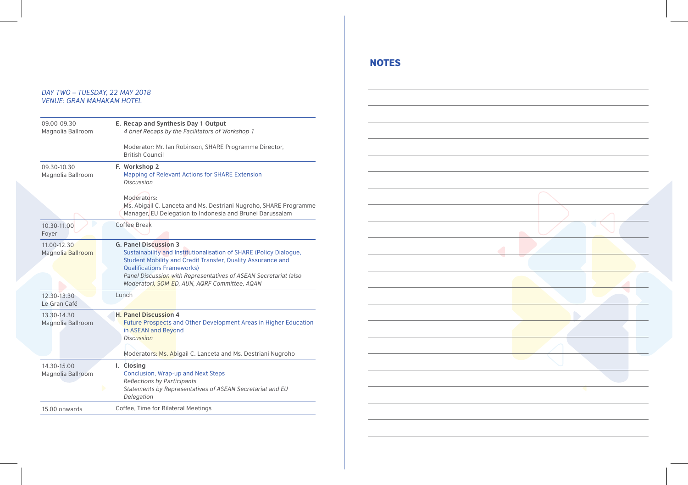#### *DAY TWO – TUESDAY, 22 MAY 2018 VENUE: GRAN MAHAKAM HOTEL*

| 09.00-09.30<br>Magnolia Ballroom | E. Recap and Synthesis Day 1 Output<br>4 brief Recaps by the Facilitators of Workshop 1                                                                                                                                                                                                                                     |
|----------------------------------|-----------------------------------------------------------------------------------------------------------------------------------------------------------------------------------------------------------------------------------------------------------------------------------------------------------------------------|
|                                  | Moderator: Mr. Ian Robinson, SHARE Programme Director,<br><b>British Council</b>                                                                                                                                                                                                                                            |
| 09.30-10.30<br>Magnolia Ballroom | F. Workshop 2<br>Mapping of Relevant Actions for SHARE Extension<br><b>Discussion</b>                                                                                                                                                                                                                                       |
|                                  | Moderators:<br>Ms. Abigail C. Lanceta and Ms. Destriani Nugroho, SHARE Programme<br>Manager, EU Delegation to Indonesia and Brunei Darussalam                                                                                                                                                                               |
| 10.30-11.00<br>Foyer             | <b>Coffee Break</b>                                                                                                                                                                                                                                                                                                         |
| 11.00-12.30<br>Magnolia Ballroom | <b>G. Panel Discussion 3</b><br>Sustainability and Institutionalisation of SHARE (Policy Dialogue,<br>Student Mobility and Credit Transfer, Quality Assurance and<br><b>Qualifications Frameworks)</b><br>Panel Discussion with Representatives of ASEAN Secretariat (also<br>Moderator), SOM-ED, AUN, AQRF Committee, AQAN |
| 12.30-13.30<br>Le Gran Café      | Lunch                                                                                                                                                                                                                                                                                                                       |
| 13.30-14.30<br>Magnolia Ballroom | <b>H. Panel Discussion 4</b><br>Future Prospects and Other Development Areas in Higher Education<br>in ASEAN and Beyond<br><b>Discussion</b><br>Moderators: Ms. Abigail C. Lanceta and Ms. Destriani Nugroho                                                                                                                |
| 14.30-15.00<br>Magnolia Ballroom | I. Closing<br>Conclusion, Wrap-up and Next Steps<br>Reflections by Participants<br>Statements by Representatives of ASEAN Secretariat and EU<br>Delegation                                                                                                                                                                  |
| 15.00 onwards                    | Coffee, Time for Bilateral Meetings                                                                                                                                                                                                                                                                                         |

### NOTES